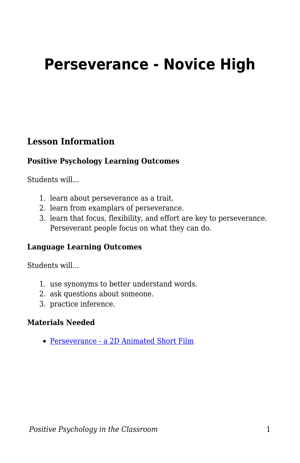# **Perseverance - Novice High**

#### **Lesson Information**

#### **Positive Psychology Learning Outcomes**

Students will...

- 1. learn about perseverance as a trait.
- 2. learn from examplars of perseverance.
- 3. learn that focus, flexibility, and effort are key to perseverance. Perseverant people focus on what they can do.

#### **Language Learning Outcomes**

Students will...

- 1. use synonyms to better understand words.
- 2. ask questions about someone.
- 3. practice inference.

#### **Materials Needed**

[Perseverance - a 2D Animated Short Film](https://www.youtube.com/watch?v=NL4BGjzupCA)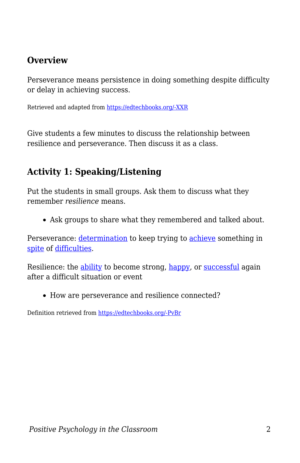## **Overview**

Perseverance means persistence in doing something despite difficulty or delay in achieving success.

Retrieved and adapted from [https://edtechbooks.org/-XXR](https://www.ldoceonline.com/dictionary/perseverance)

Give students a few minutes to discuss the relationship between resilience and perseverance. Then discuss it as a class.

# **Activity 1: Speaking/Listening**

Put the students in small groups. Ask them to discuss what they remember *resilience* means.

Ask groups to share what they remembered and talked about.

Perseverance: [determination](https://www.ldoceonline.com/dictionary/determination) to keep trying to [achieve](https://www.ldoceonline.com/dictionary/achieve) something in [spite](https://www.ldoceonline.com/dictionary/spite) of [difficulties.](https://www.ldoceonline.com/dictionary/difficulty)

Resilience: the [ability](https://www.ldoceonline.com/dictionary/ability) to become strong, [happy,](https://www.ldoceonline.com/dictionary/happy) or [successful](https://www.ldoceonline.com/dictionary/successful) again after a difficult situation or event

How are perseverance and resilience connected?

Definition retrieved from [https://edtechbooks.org/-PvBr](https://www.ldoceonline.com/dictionary/resilience)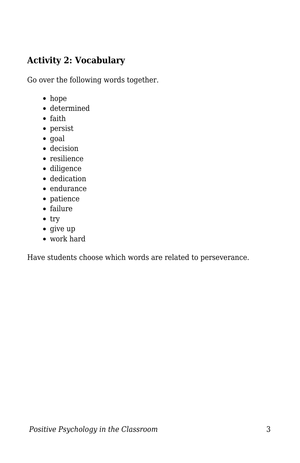## **Activity 2: Vocabulary**

Go over the following words together.

- hope
- determined
- faith
- persist
- goal
- decision
- resilience
- diligence
- dedication
- endurance
- patience
- failure
- $\bullet$  try
- give up
- work hard

Have students choose which words are related to perseverance.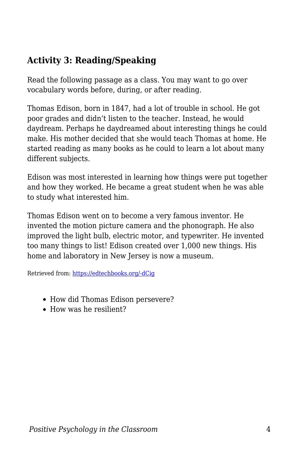# **Activity 3: Reading/Speaking**

Read the following passage as a class. You may want to go over vocabulary words before, during, or after reading.

Thomas Edison, born in 1847, had a lot of trouble in school. He got poor grades and didn't listen to the teacher. Instead, he would daydream. Perhaps he daydreamed about interesting things he could make. His mother decided that she would teach Thomas at home. He started reading as many books as he could to learn a lot about many different subjects.

Edison was most interested in learning how things were put together and how they worked. He became a great student when he was able to study what interested him.

Thomas Edison went on to become a very famous inventor. He invented the motion picture camera and the phonograph. He also improved the light bulb, electric motor, and typewriter. He invented too many things to list! Edison created over 1,000 new things. His home and laboratory in New Jersey is now a museum.

Retrieved from: [https://edtechbooks.org/-dCig](https://www.joliet86.org/assets/1/6/Readworks_-_Thomas_Edison.pdf)

- How did Thomas Edison persevere?
- How was he resilient?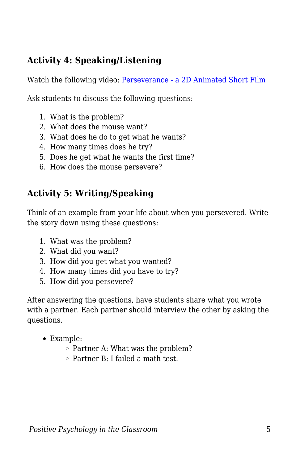# **Activity 4: Speaking/Listening**

Watch the following video: [Perseverance - a 2D Animated Short Film](https://www.youtube.com/watch?v=NL4BGjzupCA)

Ask students to discuss the following questions:

- 1. What is the problem?
- 2. What does the mouse want?
- 3. What does he do to get what he wants?
- 4. How many times does he try?
- 5. Does he get what he wants the first time?
- 6. How does the mouse persevere?

# **Activity 5: Writing/Speaking**

Think of an example from your life about when you persevered. Write the story down using these questions:

- 1. What was the problem?
- 2. What did you want?
- 3. How did you get what you wanted?
- 4. How many times did you have to try?
- 5. How did you persevere?

After answering the questions, have students share what you wrote with a partner. Each partner should interview the other by asking the questions.

- Example:
	- $\circ$  Partner A: What was the problem?
	- Partner B: I failed a math test.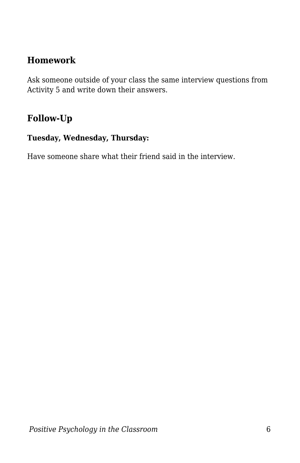## **Homework**

Ask someone outside of your class the same interview questions from Activity 5 and write down their answers.

## **Follow-Up**

#### **Tuesday, Wednesday, Thursday:**

Have someone share what their friend said in the interview.